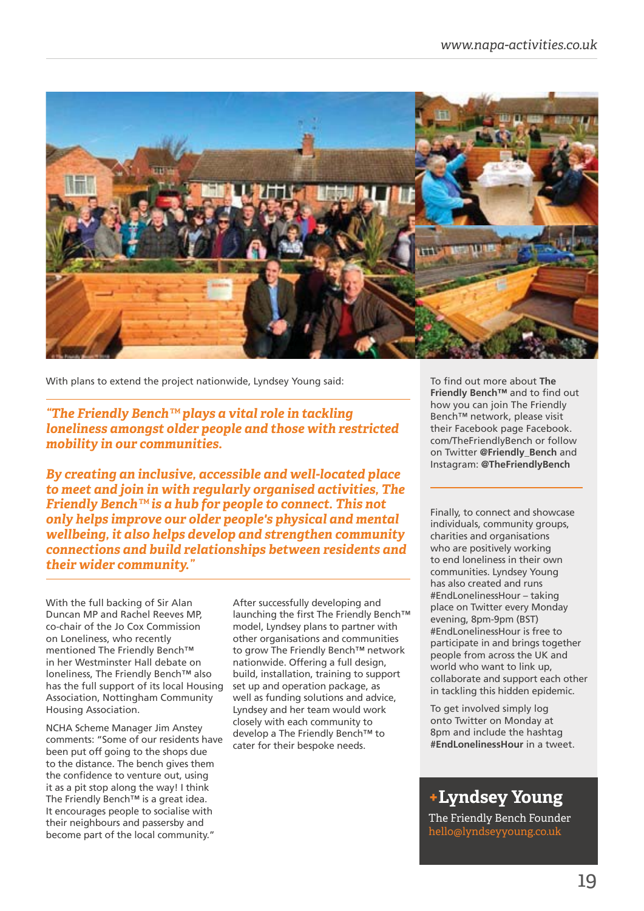

With plans to extend the project nationwide, Lyndsey Young said:

*"The Friendly Bench™ plays a vital role in tackling loneliness amongst older people and those with restricted mobility in our communities.* 

*By creating an inclusive, accessible and well-located place to meet and join in with regularly organised activities, The Friendly Bench™ is a hub for people to connect. This not only helps improve our older people's physical and mental wellbeing, it also helps develop and strengthen community connections and build relationships between residents and their wider community."*

With the full backing of Sir Alan Duncan MP and Rachel Reeves MP, co-chair of the Jo Cox Commission on Loneliness, who recently mentioned The Friendly Bench™ in her Westminster Hall debate on loneliness, The Friendly Bench™ also has the full support of its local Housing Association, Nottingham Community Housing Association.

NCHA Scheme Manager Jim Anstey comments: "Some of our residents have been put off going to the shops due to the distance. The bench gives them the confidence to venture out, using it as a pit stop along the way! I think The Friendly Bench™ is a great idea. It encourages people to socialise with their neighbours and passersby and become part of the local community."

After successfully developing and launching the first The Friendly Bench $TM$ model, Lyndsey plans to partner with other organisations and communities to grow The Friendly Bench™ network nationwide. Offering a full design, build, installation, training to support set up and operation package, as well as funding solutions and advice, Lyndsey and her team would work closely with each community to develop a The Friendly Bench™ to cater for their bespoke needs.

To find out more about **The Friendly Bench™** and to find out how you can join The Friendly Bench™ network, please visit their Facebook page Facebook. com/TheFriendlyBench or follow on Twitter **@Friendly\_Bench** and Instagram: **@TheFriendlyBench**

Finally, to connect and showcase individuals, community groups, charities and organisations who are positively working to end loneliness in their own communities. Lyndsey Young has also created and runs #EndLonelinessHour – taking place on Twitter every Monday evening, 8pm-9pm (BST) #EndLonelinessHour is free to participate in and brings together people from across the UK and world who want to link up, collaborate and support each other in tackling this hidden epidemic.

To get involved simply log onto Twitter on Monday at 8pm and include the hashtag **#EndLonelinessHour** in a tweet.

## **+Lyndsey Young**

The Friendly Bench Founder hello@lyndseyyoung.co.uk